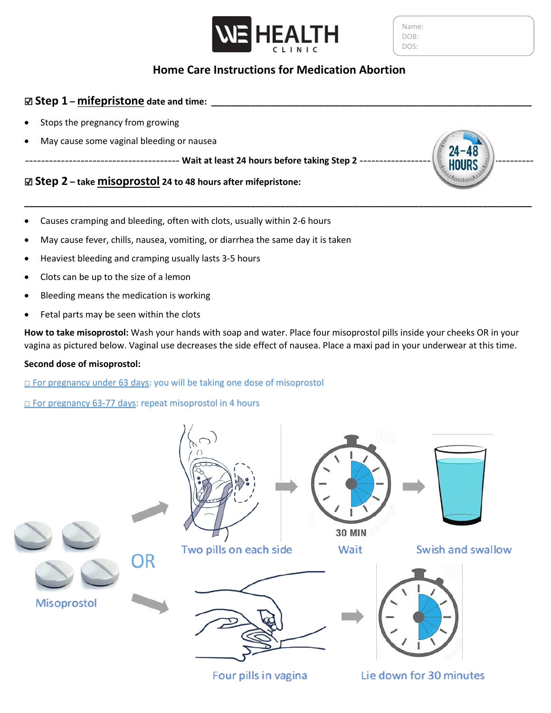

Name: DOB: DOS:

# **Home Care Instructions for Medication Abortion**

**\_\_\_\_\_\_\_\_\_\_\_\_\_\_\_\_\_\_\_\_\_\_\_\_\_\_\_\_\_\_\_\_\_\_\_\_\_\_\_\_\_\_\_\_\_\_\_\_\_\_\_\_\_\_\_\_\_\_\_\_\_\_\_\_\_\_\_\_\_\_\_\_\_\_\_\_\_\_\_\_\_\_\_\_\_\_\_\_\_\_\_\_\_\_\_\_\_\_\_\_\_\_\_**

### ☑ **Step 1 – mifepristone date and time: \_\_\_\_\_\_\_\_\_\_\_\_\_\_\_\_\_\_\_\_\_\_\_\_\_\_\_\_\_\_\_\_\_\_\_\_\_\_\_\_\_\_\_\_\_\_\_\_\_\_\_\_\_\_\_\_\_\_\_\_\_\_\_\_\_**

- Stops the pregnancy from growing
- May cause some vaginal bleeding or nausea

--------------------------------------- **Wait at least 24 hours before taking Step 2** --------------------------------------------

## ☑ **Step 2 – take misoprostol 24 to 48 hours after mifepristone:**

- Causes cramping and bleeding, often with clots, usually within 2-6 hours
- May cause fever, chills, nausea, vomiting, or diarrhea the same day it is taken
- Heaviest bleeding and cramping usually lasts 3-5 hours
- Clots can be up to the size of a lemon
- Bleeding means the medication is working
- Fetal parts may be seen within the clots

**How to take misoprostol:** Wash your hands with soap and water. Place four misoprostol pills inside your cheeks OR in your vagina as pictured below. Vaginal use decreases the side effect of nausea. Place a maxi pad in your underwear at this time.

#### **Second dose of misoprostol:**

□ For pregnancy under 63 days: you will be taking one dose of misoprostol

□ For pregnancy 63-77 days: repeat misoprostol in 4 hours



Four pills in vagina

Lie down for 30 minutes